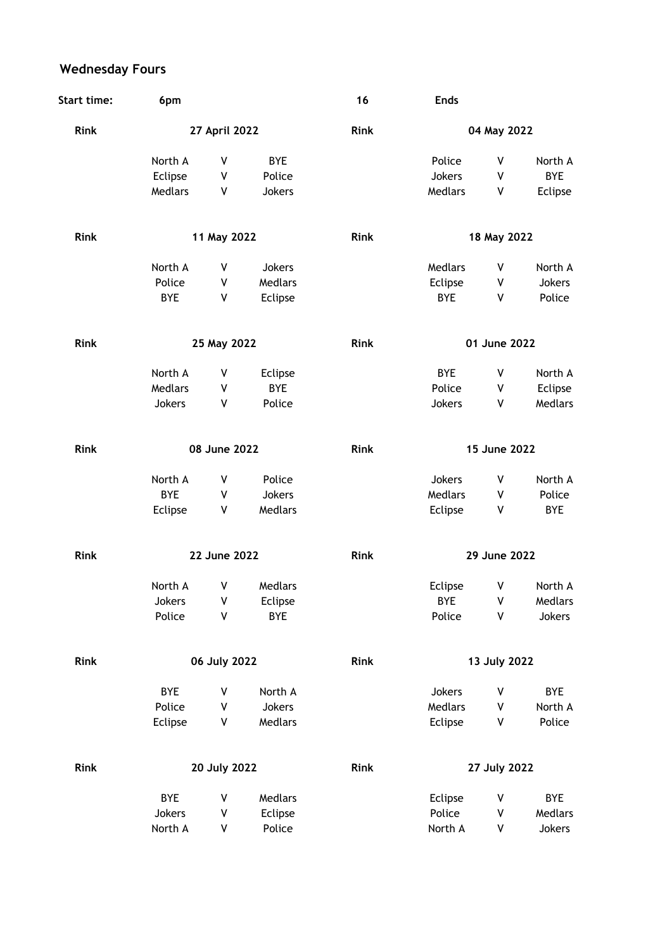## **Wednesday Fours**

| <b>Start time:</b> | 6pm           |         |            | 16          | <b>Ends</b>  |   |            |
|--------------------|---------------|---------|------------|-------------|--------------|---|------------|
| Rink               | 27 April 2022 |         |            | Rink        | 04 May 2022  |   |            |
|                    | North A       | ٧       | <b>BYE</b> |             | Police       | ٧ | North A    |
|                    | Eclipse       | V       | Police     |             | Jokers       | ٧ | <b>BYE</b> |
|                    | Medlars       | ٧       | Jokers     |             | Medlars      | ٧ | Eclipse    |
| Rink               | 11 May 2022   |         |            | Rink        | 18 May 2022  |   |            |
|                    | North A       | ٧       | Jokers     |             | Medlars      | ٧ | North A    |
|                    | Police        | V       | Medlars    |             | Eclipse      | ٧ | Jokers     |
|                    | <b>BYE</b>    | V       | Eclipse    |             | <b>BYE</b>   | ٧ | Police     |
| <b>Rink</b>        | 25 May 2022   |         |            | <b>Rink</b> | 01 June 2022 |   |            |
|                    | North A       | ٧       | Eclipse    |             | <b>BYE</b>   | ٧ | North A    |
|                    | Medlars       | V       | <b>BYE</b> |             | Police       | ٧ | Eclipse    |
|                    | Jokers        | V       | Police     |             | Jokers       | ۷ | Medlars    |
| <b>Rink</b>        | 08 June 2022  |         |            | <b>Rink</b> | 15 June 2022 |   |            |
|                    | North A       | ٧       | Police     |             | Jokers       | ٧ | North A    |
|                    | <b>BYE</b>    | V       | Jokers     |             | Medlars      | ٧ | Police     |
|                    | Eclipse       | ٧       | Medlars    |             | Eclipse      | ٧ | <b>BYE</b> |
| <b>Rink</b>        | 22 June 2022  |         |            | <b>Rink</b> | 29 June 2022 |   |            |
|                    | North A       | ۷       | Medlars    |             | Eclipse      | ٧ | North A    |
|                    | Jokers        | V       | Eclipse    |             | BYE          | ٧ | Medlars    |
|                    | Police        | V       | <b>BYE</b> |             | Police       | ٧ | Jokers     |
| Rink               | 06 July 2022  |         |            | Rink        | 13 July 2022 |   |            |
|                    | <b>BYE</b>    | ٧       | North A    |             | Jokers       | ٧ | BYE        |
|                    | Police        | $\sf V$ | Jokers     |             | Medlars      | ٧ | North A    |
|                    | Eclipse       | ٧       | Medlars    |             | Eclipse      | ٧ | Police     |
| Rink               | 20 July 2022  |         |            | Rink        | 27 July 2022 |   |            |
|                    | <b>BYE</b>    | ٧       | Medlars    |             | Eclipse      | ٧ | <b>BYE</b> |
|                    | Jokers        | ٧       | Eclipse    |             | Police       | ٧ | Medlars    |
|                    | North A       | ٧       | Police     |             | North A      | ٧ | Jokers     |